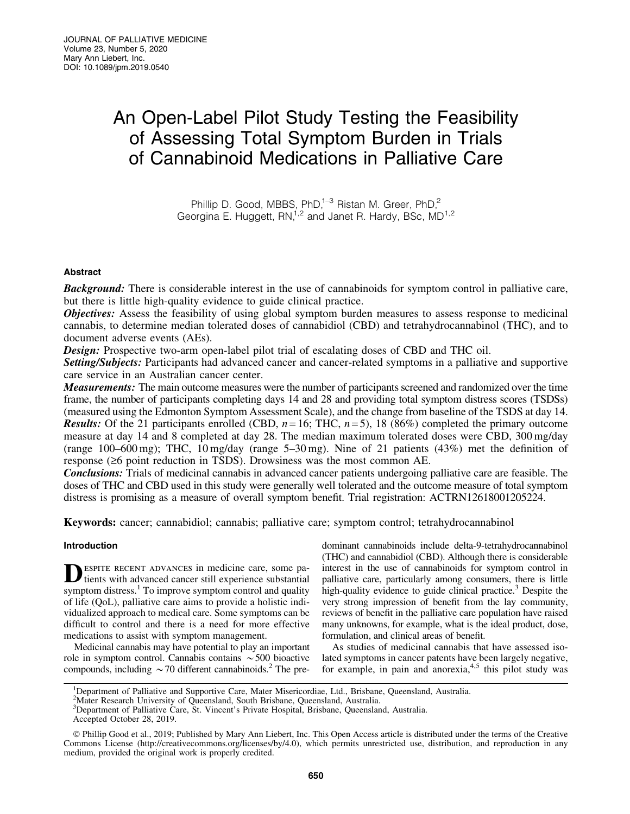# An Open-Label Pilot Study Testing the Feasibility of Assessing Total Symptom Burden in Trials of Cannabinoid Medications in Palliative Care

Phillip D. Good, MBBS, PhD, $1-3$  Ristan M. Greer, PhD, $2$ Georgina E. Huggett, RN,<sup>1,2</sup> and Janet R. Hardy, BSc, MD<sup>1,2</sup>

# Abstract

Background: There is considerable interest in the use of cannabinoids for symptom control in palliative care, but there is little high-quality evidence to guide clinical practice.

**Objectives:** Assess the feasibility of using global symptom burden measures to assess response to medicinal cannabis, to determine median tolerated doses of cannabidiol (CBD) and tetrahydrocannabinol (THC), and to document adverse events (AEs).

**Design:** Prospective two-arm open-label pilot trial of escalating doses of CBD and THC oil.

Setting/Subjects: Participants had advanced cancer and cancer-related symptoms in a palliative and supportive care service in an Australian cancer center.

Measurements: The main outcome measures were the number of participants screened and randomized over the time frame, the number of participants completing days 14 and 28 and providing total symptom distress scores (TSDSs) (measured using the Edmonton Symptom Assessment Scale), and the change from baseline of the TSDS at day 14. **Results:** Of the 21 participants enrolled (CBD,  $n = 16$ ; THC,  $n = 5$ ), 18 (86%) completed the primary outcome measure at day 14 and 8 completed at day 28. The median maximum tolerated doses were CBD, 300 mg/day (range 100–600 mg); THC, 10 mg/day (range 5–30 mg). Nine of 21 patients (43%) met the definition of response  $(\geq 6$  point reduction in TSDS). Drowsiness was the most common AE.

Conclusions: Trials of medicinal cannabis in advanced cancer patients undergoing palliative care are feasible. The doses of THC and CBD used in this study were generally well tolerated and the outcome measure of total symptom distress is promising as a measure of overall symptom benefit. Trial registration: ACTRN12618001205224.

Keywords: cancer; cannabidiol; cannabis; palliative care; symptom control; tetrahydrocannabinol

# Introduction

DESPITE RECENT ADVANCES in medicine care, some pa-<br>tients with advanced cancer still experience substantial symptom distress.<sup>1</sup> To improve symptom control and quality of life (QoL), palliative care aims to provide a holistic individualized approach to medical care. Some symptoms can be difficult to control and there is a need for more effective medications to assist with symptom management.

Medicinal cannabis may have potential to play an important role in symptom control. Cannabis contains  $\sim$  500 bioactive compounds, including  $\sim$  70 different cannabinoids.<sup>2</sup> The predominant cannabinoids include delta-9-tetrahydrocannabinol (THC) and cannabidiol (CBD). Although there is considerable interest in the use of cannabinoids for symptom control in palliative care, particularly among consumers, there is little high-quality evidence to guide clinical practice. $3$  Despite the very strong impression of benefit from the lay community, reviews of benefit in the palliative care population have raised many unknowns, for example, what is the ideal product, dose, formulation, and clinical areas of benefit.

As studies of medicinal cannabis that have assessed isolated symptoms in cancer patents have been largely negative, for example, in pain and anorexia, $4.5$  this pilot study was

<sup>&</sup>lt;sup>1</sup>Department of Palliative and Supportive Care, Mater Misericordiae, Ltd., Brisbane, Queensland, Australia.

<sup>2</sup> Mater Research University of Queensland, South Brisbane, Queensland, Australia.

<sup>3</sup> Department of Palliative Care, St. Vincent's Private Hospital, Brisbane, Queensland, Australia.

Accepted October 28, 2019.

<sup>©</sup> Phillip Good et al., 2019; Published by Mary Ann Liebert, Inc. This Open Access article is distributed under the terms of the Creative Commons License [\(http://creativecommons.org/licenses/by/4.0](http://creativecommons.org/licenses/by/4.0)), which permits unrestricted use, distribution, and reproduction in any medium, provided the original work is properly credited.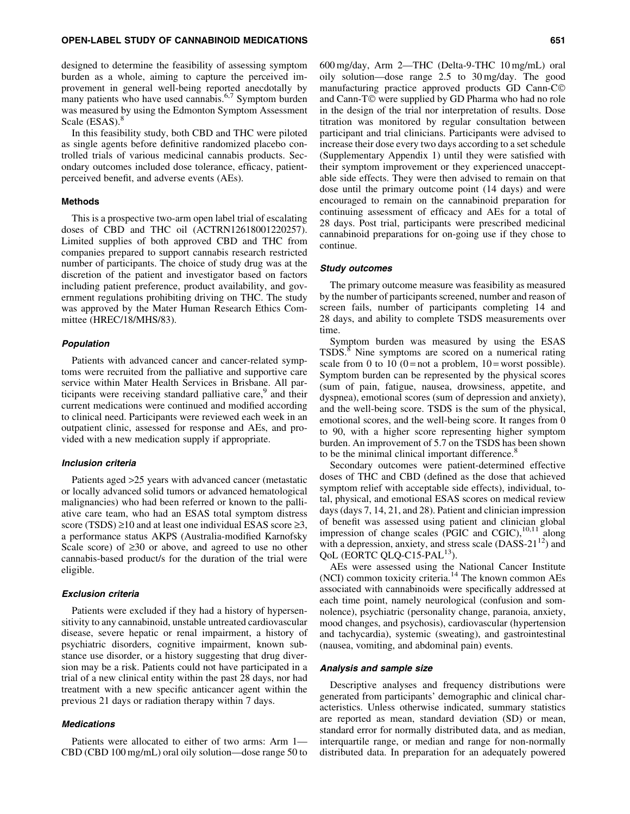#### OPEN-LABEL STUDY OF CANNABINOID MEDICATIONS 651

designed to determine the feasibility of assessing symptom burden as a whole, aiming to capture the perceived improvement in general well-being reported anecdotally by many patients who have used cannabis.<sup>6,7</sup> Symptom burden was measured by using the Edmonton Symptom Assessment Scale (ESAS).<sup>8</sup>

In this feasibility study, both CBD and THC were piloted as single agents before definitive randomized placebo controlled trials of various medicinal cannabis products. Secondary outcomes included dose tolerance, efficacy, patientperceived benefit, and adverse events (AEs).

# Methods

This is a prospective two-arm open label trial of escalating doses of CBD and THC oil (ACTRN12618001220257). Limited supplies of both approved CBD and THC from companies prepared to support cannabis research restricted number of participants. The choice of study drug was at the discretion of the patient and investigator based on factors including patient preference, product availability, and government regulations prohibiting driving on THC. The study was approved by the Mater Human Research Ethics Committee (HREC/18/MHS/83).

#### Population

Patients with advanced cancer and cancer-related symptoms were recruited from the palliative and supportive care service within Mater Health Services in Brisbane. All participants were receiving standard palliative care,<sup>9</sup> and their current medications were continued and modified according to clinical need. Participants were reviewed each week in an outpatient clinic, assessed for response and AEs, and provided with a new medication supply if appropriate.

#### Inclusion criteria

Patients aged >25 years with advanced cancer (metastatic or locally advanced solid tumors or advanced hematological malignancies) who had been referred or known to the palliative care team, who had an ESAS total symptom distress score (TSDS)  $\geq$ 10 and at least one individual ESAS score  $\geq$ 3, a performance status AKPS (Australia-modified Karnofsky Scale score) of  $\geq 30$  or above, and agreed to use no other cannabis-based product/s for the duration of the trial were eligible.

# Exclusion criteria

Patients were excluded if they had a history of hypersensitivity to any cannabinoid, unstable untreated cardiovascular disease, severe hepatic or renal impairment, a history of psychiatric disorders, cognitive impairment, known substance use disorder, or a history suggesting that drug diversion may be a risk. Patients could not have participated in a trial of a new clinical entity within the past 28 days, nor had treatment with a new specific anticancer agent within the previous 21 days or radiation therapy within 7 days.

# Medications

Patients were allocated to either of two arms: Arm 1— CBD (CBD 100 mg/mL) oral oily solution—dose range 50 to 600 mg/day, Arm 2—THC (Delta-9-THC 10 mg/mL) oral oily solution—dose range 2.5 to 30 mg/day. The good manufacturing practice approved products GD Cann-C© and Cann-T© were supplied by GD Pharma who had no role in the design of the trial nor interpretation of results. Dose titration was monitored by regular consultation between participant and trial clinicians. Participants were advised to increase their dose every two days according to a set schedule (Supplementary Appendix 1) until they were satisfied with their symptom improvement or they experienced unacceptable side effects. They were then advised to remain on that dose until the primary outcome point (14 days) and were encouraged to remain on the cannabinoid preparation for continuing assessment of efficacy and AEs for a total of 28 days. Post trial, participants were prescribed medicinal cannabinoid preparations for on-going use if they chose to continue.

#### Study outcomes

The primary outcome measure was feasibility as measured by the number of participants screened, number and reason of screen fails, number of participants completing 14 and 28 days, and ability to complete TSDS measurements over time.

Symptom burden was measured by using the ESAS TSDS.<sup>8</sup> Nine symptoms are scored on a numerical rating scale from 0 to 10 (0 = not a problem,  $10 =$  worst possible). Symptom burden can be represented by the physical scores (sum of pain, fatigue, nausea, drowsiness, appetite, and dyspnea), emotional scores (sum of depression and anxiety), and the well-being score. TSDS is the sum of the physical, emotional scores, and the well-being score. It ranges from 0 to 90, with a higher score representing higher symptom burden. An improvement of 5.7 on the TSDS has been shown to be the minimal clinical important difference.<sup>8</sup>

Secondary outcomes were patient-determined effective doses of THC and CBD (defined as the dose that achieved symptom relief with acceptable side effects), individual, total, physical, and emotional ESAS scores on medical review days (days 7, 14, 21, and 28). Patient and clinician impression of benefit was assessed using patient and clinician global impression of change scales (PGIC and CGIC),  $^{10,11}$  along with a depression, anxiety, and stress scale  $(DASS-21^{12})$  and QoL (EORTC QLQ-C15-PAL<sup>13</sup>).

AEs were assessed using the National Cancer Institute  $(NCI)$  common toxicity criteria.<sup>14</sup> The known common AEs associated with cannabinoids were specifically addressed at each time point, namely neurological (confusion and somnolence), psychiatric (personality change, paranoia, anxiety, mood changes, and psychosis), cardiovascular (hypertension and tachycardia), systemic (sweating), and gastrointestinal (nausea, vomiting, and abdominal pain) events.

#### Analysis and sample size

Descriptive analyses and frequency distributions were generated from participants' demographic and clinical characteristics. Unless otherwise indicated, summary statistics are reported as mean, standard deviation (SD) or mean, standard error for normally distributed data, and as median, interquartile range, or median and range for non-normally distributed data. In preparation for an adequately powered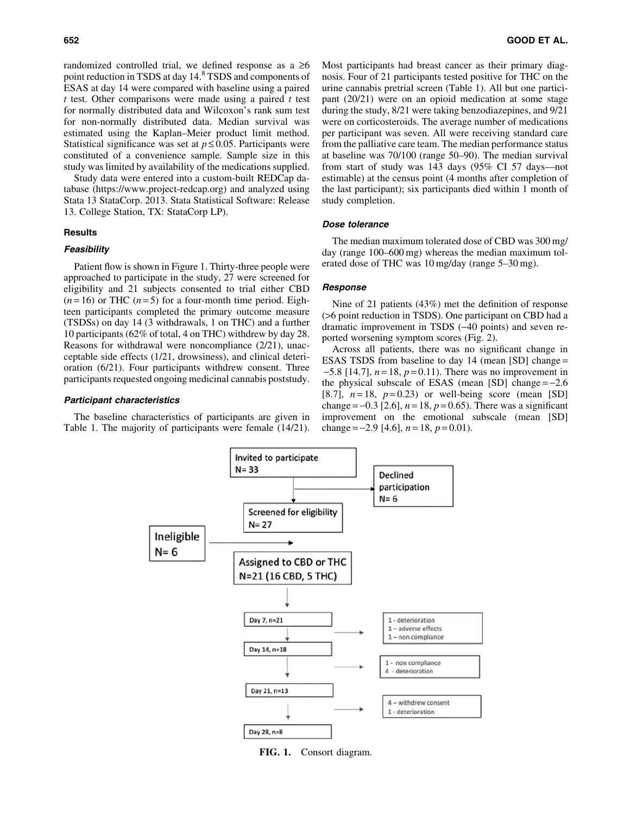randomized controlled trial, we defined response as a  $\geq 6$ point reduction in TSDS at day 14.<sup>8</sup> TSDS and components of ESAS at day 14 were compared with baseline using a paired *t* test. Other comparisons were made using a paired *t* test for normally distributed data and Wilcoxon's rank sum test for non-normally distributed data. Median survival was estimated using the Kaplan–Meier product limit method. Statistical significance was set at  $p \le 0.05$ . Participants were constituted of a convenience sample. Sample size in this study was limited by availability of the medications supplied.

Study data were entered into a custom-built REDCap database [\(https://www.project-redcap.org](https://www.project-redcap.org)) and analyzed using Stata 13 StataCorp. 2013. Stata Statistical Software: Release 13. College Station, TX: StataCorp LP).

#### Results

# **Feasibility**

Patient flow is shown in Figure 1. Thirty-three people were approached to participate in the study, 27 were screened for eligibility and 21 subjects consented to trial either CBD  $(n=16)$  or THC  $(n=5)$  for a four-month time period. Eighteen participants completed the primary outcome measure (TSDSs) on day 14 (3 withdrawals, 1 on THC) and a further 10 participants (62% of total, 4 on THC) withdrew by day 28. Reasons for withdrawal were noncompliance (2/21), unacceptable side effects (1/21, drowsiness), and clinical deterioration (6/21). Four participants withdrew consent. Three participants requested ongoing medicinal cannabis poststudy.

#### Participant characteristics

The baseline characteristics of participants are given in Table 1. The majority of participants were female (14/21). Most participants had breast cancer as their primary diagnosis. Four of 21 participants tested positive for THC on the urine cannabis pretrial screen (Table 1). All but one participant (20/21) were on an opioid medication at some stage during the study, 8/21 were taking benzodiazepines, and 9/21 were on corticosteroids. The average number of medications per participant was seven. All were receiving standard care from the palliative care team. The median performance status at baseline was 70/100 (range 50–90). The median survival from start of study was 143 days (95% CI 57 days—not estimable) at the census point (4 months after completion of the last participant); six participants died within 1 month of study completion.

#### Dose tolerance

The median maximum tolerated dose of CBD was 300 mg/ day (range 100–600 mg) whereas the median maximum tolerated dose of THC was 10 mg/day (range 5–30 mg).

# Response

Nine of 21 patients (43%) met the definition of response (>6 point reduction in TSDS). One participant on CBD had a dramatic improvement in TSDS (-40 points) and seven reported worsening symptom scores (Fig. 2).

Across all patients, there was no significant change in ESAS TSDS from baseline to day 14 (mean [SD] change =  $-5.8$  [14.7],  $n = 18$ ,  $p = 0.11$ ). There was no improvement in the physical subscale of ESAS (mean  $[SD]$  change  $=-2.6$ [8.7],  $n=18$ ,  $p=0.23$ ) or well-being score (mean [SD] change =  $-0.3$  [2.6],  $n = 18$ ,  $p = 0.65$ ). There was a significant improvement on the emotional subscale (mean [SD] change =  $-2.9$  [4.6],  $n = 18$ ,  $p = 0.01$ ).



FIG. 1. Consort diagram.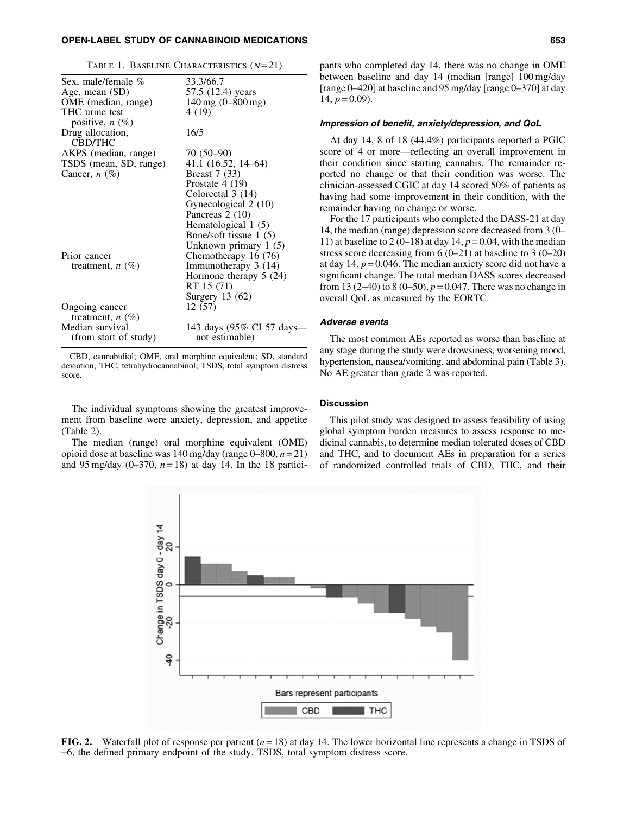# OPEN-LABEL STUDY OF CANNABINOID MEDICATIONS 653

|  |  |  | TABLE 1. BASELINE CHARACTERISTICS $(N=21)$ |  |
|--|--|--|--------------------------------------------|--|
|--|--|--|--------------------------------------------|--|

| Sex, male/female %                  | 33.3/66.7                      |
|-------------------------------------|--------------------------------|
| Age, mean (SD)                      | 57.5 (12.4) years              |
| OME (median, range)                 | $140 \,\mathrm{mg}$ (0-800 mg) |
| THC urine test<br>positive, $n(\%)$ | 4 (19)                         |
| Drug allocation,<br><b>CBD/THC</b>  | 16/5                           |
| AKPS (median, range)                | $70(50-90)$                    |
| TSDS (mean, SD, range)              | 41.1 (16.52, 14–64)            |
| Cancer, $n$ (%)                     | <b>Breast</b> 7 (33)           |
|                                     | Prostate $4(19)$               |
|                                     | Colorectal 3 (14)              |
|                                     | Gynecological 2 (10)           |
|                                     | Pancreas 2 (10)                |
|                                     | Hematological 1 (5)            |
|                                     | Bone/soft tissue 1 (5)         |
|                                     | Unknown primary 1 (5)          |
| Prior cancer                        | Chemotherapy 16 (76)           |
| treatment, $n(\%)$                  | Immunotherapy 3 (14)           |
|                                     | Hormone therapy $5(24)$        |
|                                     | RT 15 (71)                     |
|                                     | Surgery $13(62)$               |
| Ongoing cancer                      | 12 (57)                        |
| treatment, $n$ $(\%)$               |                                |
| Median survival                     | 143 days (95% CI 57 days-      |
| (from start of study)               | not estimable)                 |
|                                     |                                |

CBD, cannabidiol; OME, oral morphine equivalent; SD, standard deviation; THC, tetrahydrocannabinol; TSDS, total symptom distress score.

The individual symptoms showing the greatest improvement from baseline were anxiety, depression, and appetite (Table 2).

The median (range) oral morphine equivalent (OME) opioid dose at baseline was 140 mg/day (range 0–800, *n* = 21) and 95 mg/day  $(0-370, n=18)$  at day 14. In the 18 partici-



#### Impression of benefit, anxiety/depression, and QoL

At day 14, 8 of 18 (44.4%) participants reported a PGIC score of 4 or more—reflecting an overall improvement in their condition since starting cannabis. The remainder reported no change or that their condition was worse. The clinician-assessed CGIC at day 14 scored 50% of patients as having had some improvement in their condition, with the remainder having no change or worse.

For the 17 participants who completed the DASS-21 at day 14, the median (range) depression score decreased from 3 (0– 11) at baseline to 2 (0–18) at day 14,  $p = 0.04$ , with the median stress score decreasing from 6 (0–21) at baseline to 3 (0–20) at day  $14$ ,  $p = 0.046$ . The median anxiety score did not have a significant change. The total median DASS scores decreased from 13 (2–40) to 8 (0–50),  $p = 0.047$ . There was no change in overall QoL as measured by the EORTC.

#### Adverse events

The most common AEs reported as worse than baseline at any stage during the study were drowsiness, worsening mood, hypertension, nausea/vomiting, and abdominal pain (Table 3). No AE greater than grade 2 was reported.

### **Discussion**

This pilot study was designed to assess feasibility of using global symptom burden measures to assess response to medicinal cannabis, to determine median tolerated doses of CBD and THC, and to document AEs in preparation for a series of randomized controlled trials of CBD, THC, and their



FIG. 2. Waterfall plot of response per patient (*n* = 18) at day 14. The lower horizontal line represents a change in TSDS of -6, the defined primary endpoint of the study. TSDS, total symptom distress score.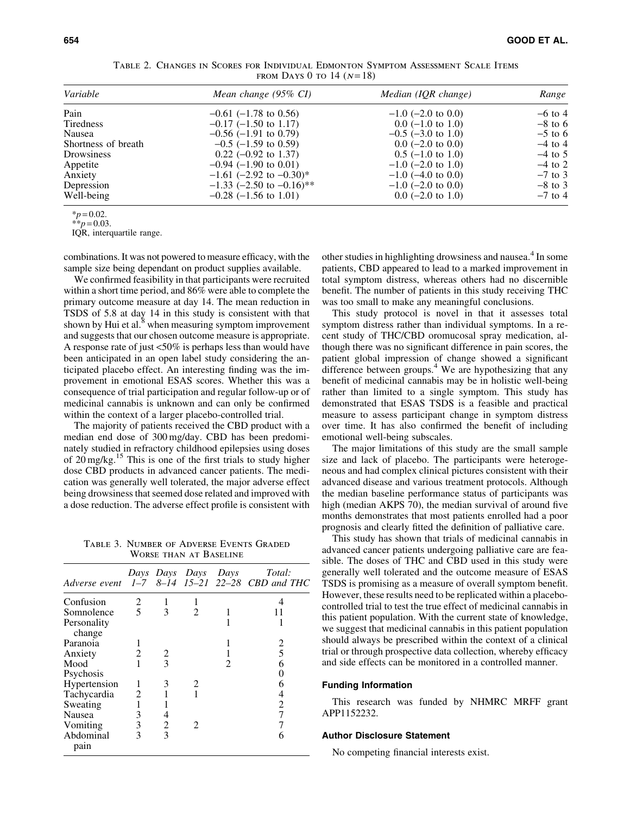|                            | TABLE 2. CHANGES IN SCORES FOR INDIVIDUAL EDMONTON SYMPTOM ASSESSMENT SCALE ITEMS |  |  |  |  |
|----------------------------|-----------------------------------------------------------------------------------|--|--|--|--|
| FROM DAYS 0 TO 14 $(N=18)$ |                                                                                   |  |  |  |  |

| Variable            | Mean change (95% CI)         | Median (IQR change)     | Range     |  |
|---------------------|------------------------------|-------------------------|-----------|--|
| Pain                | $-0.61$ (-1.78 to 0.56)      | $-1.0$ (-2.0 to 0.0)    | $-6$ to 4 |  |
| Tiredness           | $-0.17$ ( $-1.50$ to 1.17)   | $0.0$ (-1.0 to 1.0)     | $-8$ to 6 |  |
| Nausea              | $-0.56$ ( $-1.91$ to 0.79)   | $-0.5$ ( $-3.0$ to 1.0) | $-5$ to 6 |  |
| Shortness of breath | $-0.5$ ( $-1.59$ to 0.59)    | $0.0$ (-2.0 to 0.0)     | $-4$ to 4 |  |
| Drowsiness          | $0.22$ (-0.92 to 1.37)       | $0.5$ (-1.0 to 1.0)     | $-4$ to 5 |  |
| Appetite            | $-0.94$ ( $-1.90$ to 0.01)   | $-1.0$ (-2.0 to 1.0)    | $-4$ to 2 |  |
| Anxiety             | $-1.61$ (-2.92 to $-0.30$ )* | $-1.0$ (-4.0 to 0.0)    | $-7$ to 3 |  |
| Depression          | $-1.33$ (-2.50 to -0.16)**   | $-1.0$ (-2.0 to 0.0)    | $-8$ to 3 |  |
| Well-being          | $-0.28$ (-1.56 to 1.01)      | $0.0$ (-2.0 to 1.0)     | $-7$ to 4 |  |

 $*_{p} = 0.02$ .

 $*$ *\*p* = 0.03.

IQR, interquartile range.

combinations. It was not powered to measure efficacy, with the sample size being dependant on product supplies available.

We confirmed feasibility in that participants were recruited within a short time period, and 86% were able to complete the primary outcome measure at day 14. The mean reduction in TSDS of 5.8 at day 14 in this study is consistent with that shown by Hui et al. $8$  when measuring symptom improvement and suggests that our chosen outcome measure is appropriate. A response rate of just <50% is perhaps less than would have been anticipated in an open label study considering the anticipated placebo effect. An interesting finding was the improvement in emotional ESAS scores. Whether this was a consequence of trial participation and regular follow-up or of medicinal cannabis is unknown and can only be confirmed within the context of a larger placebo-controlled trial.

The majority of patients received the CBD product with a median end dose of 300 mg/day. CBD has been predominately studied in refractory childhood epilepsies using doses of  $20 \text{ mg/kg}$ .<sup>15</sup> This is one of the first trials to study higher dose CBD products in advanced cancer patients. The medication was generally well tolerated, the major adverse effect being drowsiness that seemed dose related and improved with a dose reduction. The adverse effect profile is consistent with

Table 3. Number of Adverse Events Graded Worse than at Baseline

|                       |   |   |                             | Days Days Days Days | Total:<br>Adverse event 1-7 8-14 15-21 22-28 CBD and THC |
|-----------------------|---|---|-----------------------------|---------------------|----------------------------------------------------------|
| Confusion             | 2 |   |                             |                     |                                                          |
| Somnolence            | 5 | 3 | $\mathcal{D}_{\mathcal{L}}$ |                     |                                                          |
| Personality<br>change |   |   |                             |                     |                                                          |
| Paranoia              |   |   |                             |                     | 2                                                        |
| Anxiety               | 2 | 2 |                             |                     | 5                                                        |
| Mood                  |   | 3 |                             | 2                   | 6                                                        |
| Psychosis             |   |   |                             |                     |                                                          |
| Hypertension          |   | 3 | 2                           |                     | 6                                                        |
| Tachycardia           | 2 |   |                             |                     | 4                                                        |
| Sweating              |   |   |                             |                     | 2                                                        |
| <b>Nausea</b>         | 3 |   |                             |                     |                                                          |
| Vomiting              | 3 | 2 | 2                           |                     |                                                          |
| Abdominal<br>pain     | 3 | 3 |                             |                     | 6                                                        |

other studies in highlighting drowsiness and nausea.<sup>4</sup> In some patients, CBD appeared to lead to a marked improvement in total symptom distress, whereas others had no discernible benefit. The number of patients in this study receiving THC was too small to make any meaningful conclusions.

This study protocol is novel in that it assesses total symptom distress rather than individual symptoms. In a recent study of THC/CBD oromucosal spray medication, although there was no significant difference in pain scores, the patient global impression of change showed a significant difference between groups. $4$  We are hypothesizing that any benefit of medicinal cannabis may be in holistic well-being rather than limited to a single symptom. This study has demonstrated that ESAS TSDS is a feasible and practical measure to assess participant change in symptom distress over time. It has also confirmed the benefit of including emotional well-being subscales.

The major limitations of this study are the small sample size and lack of placebo. The participants were heterogeneous and had complex clinical pictures consistent with their advanced disease and various treatment protocols. Although the median baseline performance status of participants was high (median AKPS 70), the median survival of around five months demonstrates that most patients enrolled had a poor prognosis and clearly fitted the definition of palliative care.

This study has shown that trials of medicinal cannabis in advanced cancer patients undergoing palliative care are feasible. The doses of THC and CBD used in this study were generally well tolerated and the outcome measure of ESAS TSDS is promising as a measure of overall symptom benefit. However, these results need to be replicated within a placebocontrolled trial to test the true effect of medicinal cannabis in this patient population. With the current state of knowledge, we suggest that medicinal cannabis in this patient population should always be prescribed within the context of a clinical trial or through prospective data collection, whereby efficacy and side effects can be monitored in a controlled manner.

#### Funding Information

This research was funded by NHMRC MRFF grant APP1152232.

# Author Disclosure Statement

No competing financial interests exist.